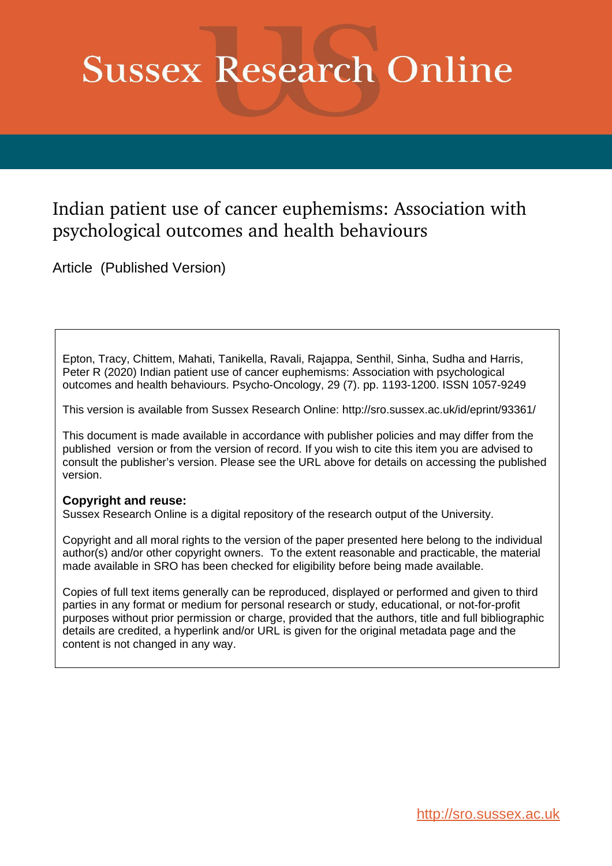# **Sussex Research Online**

# Indian patient use of cancer euphemisms: Association with psychological outcomes and health behaviours

Article (Published Version)

Epton, Tracy, Chittem, Mahati, Tanikella, Ravali, Rajappa, Senthil, Sinha, Sudha and Harris, Peter R (2020) Indian patient use of cancer euphemisms: Association with psychological outcomes and health behaviours. Psycho-Oncology, 29 (7). pp. 1193-1200. ISSN 1057-9249

This version is available from Sussex Research Online: http://sro.sussex.ac.uk/id/eprint/93361/

This document is made available in accordance with publisher policies and may differ from the published version or from the version of record. If you wish to cite this item you are advised to consult the publisher's version. Please see the URL above for details on accessing the published version.

# **Copyright and reuse:**

Sussex Research Online is a digital repository of the research output of the University.

Copyright and all moral rights to the version of the paper presented here belong to the individual author(s) and/or other copyright owners. To the extent reasonable and practicable, the material made available in SRO has been checked for eligibility before being made available.

Copies of full text items generally can be reproduced, displayed or performed and given to third parties in any format or medium for personal research or study, educational, or not-for-profit purposes without prior permission or charge, provided that the authors, title and full bibliographic details are credited, a hyperlink and/or URL is given for the original metadata page and the content is not changed in any way.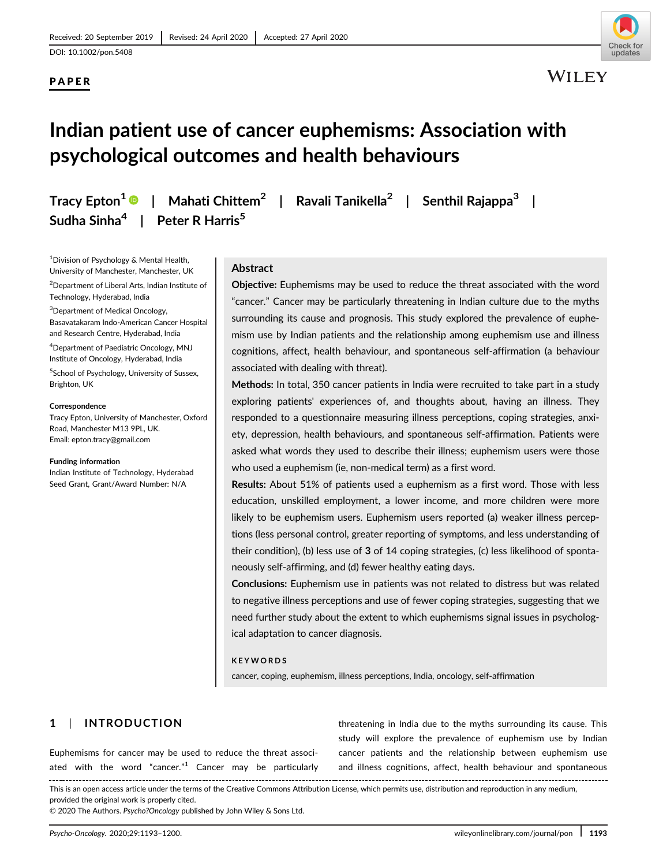DOI: 10.1002/pon.5408

# PAPER



# Indian patient use of cancer euphemisms: Association with psychological outcomes and health behaviours

Sudha Sinha<sup>4</sup> | Peter R Harris<sup>5</sup>

Tracy Epton<sup>1</sup>  $\bullet$  | Mahati Chittem<sup>2</sup> | Ravali Tanikella<sup>2</sup> | Senthil Rajappa<sup>3</sup> |

1 Division of Psychology & Mental Health, University of Manchester, Manchester, UK

 $^{2}$ Department of Liberal Arts, Indian Institute of Technology, Hyderabad, India

<sup>3</sup>Department of Medical Oncology, Basavatakaram Indo-American Cancer Hospital and Research Centre, Hyderabad, India

4 Department of Paediatric Oncology, MNJ Institute of Oncology, Hyderabad, India

<sup>5</sup>School of Psychology, University of Sussex, Brighton, UK

#### Correspondence

Tracy Epton, University of Manchester, Oxford Road, Manchester M13 9PL, UK. Email: [epton.tracy@gmail.com](mailto:epton.tracy@gmail.com)

#### Funding information

Indian Institute of Technology, Hyderabad Seed Grant, Grant/Award Number: N/A

#### Abstract

Objective: Euphemisms may be used to reduce the threat associated with the word "cancer." Cancer may be particularly threatening in Indian culture due to the myths surrounding its cause and prognosis. This study explored the prevalence of euphemism use by Indian patients and the relationship among euphemism use and illness cognitions, affect, health behaviour, and spontaneous self-affirmation (a behaviour associated with dealing with threat).

Methods: In total, 350 cancer patients in India were recruited to take part in a study exploring patients' experiences of, and thoughts about, having an illness. They responded to a questionnaire measuring illness perceptions, coping strategies, anxiety, depression, health behaviours, and spontaneous self-affirmation. Patients were asked what words they used to describe their illness; euphemism users were those who used a euphemism (ie, non-medical term) as a first word.

Results: About 51% of patients used a euphemism as a first word. Those with less education, unskilled employment, a lower income, and more children were more likely to be euphemism users. Euphemism users reported (a) weaker illness perceptions (less personal control, greater reporting of symptoms, and less understanding of their condition), (b) less use of 3 of 14 coping strategies, (c) less likelihood of spontaneously self-affirming, and (d) fewer healthy eating days.

Conclusions: Euphemism use in patients was not related to distress but was related to negative illness perceptions and use of fewer coping strategies, suggesting that we need further study about the extent to which euphemisms signal issues in psychological adaptation to cancer diagnosis.

#### KEYWORDS

cancer, coping, euphemism, illness perceptions, India, oncology, self-affirmation

# 1 | INTRODUCTION

Euphemisms for cancer may be used to reduce the threat associated with the word "cancer."<sup>1</sup> Cancer may be particularly

threatening in India due to the myths surrounding its cause. This study will explore the prevalence of euphemism use by Indian cancer patients and the relationship between euphemism use and illness cognitions, affect, health behaviour and spontaneous

This is an open access article under the terms of the [Creative Commons Attribution](http://creativecommons.org/licenses/by/4.0/) License, which permits use, distribution and reproduction in any medium, provided the original work is properly cited.

© 2020 The Authors. Psycho?Oncology published by John Wiley & Sons Ltd.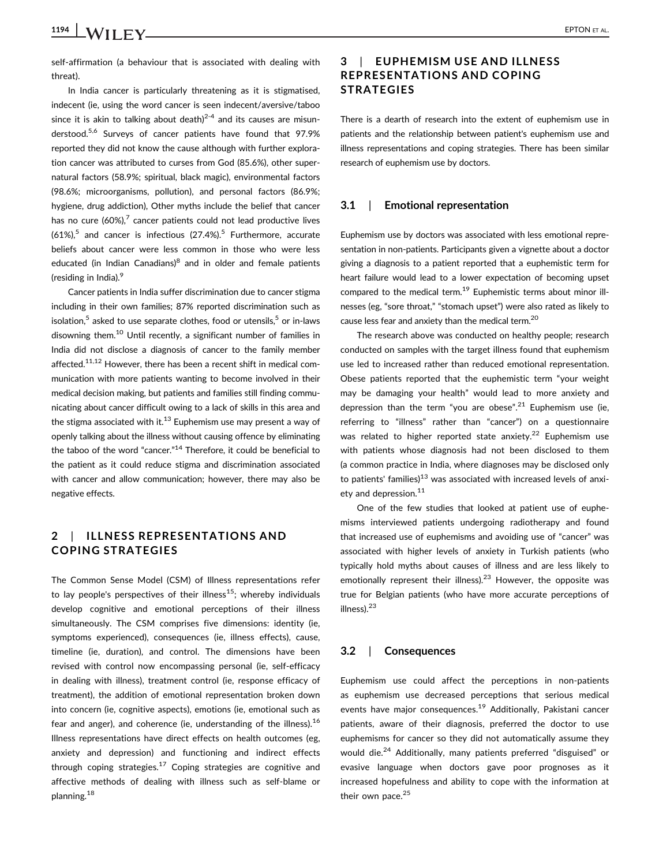1194 WII EV EPTON ET AL.

self-affirmation (a behaviour that is associated with dealing with threat).

In India cancer is particularly threatening as it is stigmatised, indecent (ie, using the word cancer is seen indecent/aversive/taboo since it is akin to talking about death) $2-4$  and its causes are misunderstood.<sup>5,6</sup> Surveys of cancer patients have found that 97.9% reported they did not know the cause although with further exploration cancer was attributed to curses from God (85.6%), other supernatural factors (58.9%; spiritual, black magic), environmental factors (98.6%; microorganisms, pollution), and personal factors (86.9%; hygiene, drug addiction), Other myths include the belief that cancer has no cure  $(60\%)$ , cancer patients could not lead productive lives  $(61\%)$ <sup>5</sup> and cancer is infectious  $(27.4\%)$ <sup>5</sup> Furthermore, accurate beliefs about cancer were less common in those who were less educated (in Indian Canadians) $8$  and in older and female patients (residing in India).<sup>9</sup>

Cancer patients in India suffer discrimination due to cancer stigma including in their own families; 87% reported discrimination such as isolation, $5$  asked to use separate clothes, food or utensils, $5$  or in-laws disowning them.10 Until recently, a significant number of families in India did not disclose a diagnosis of cancer to the family member affected.<sup>11,12</sup> However, there has been a recent shift in medical communication with more patients wanting to become involved in their medical decision making, but patients and families still finding communicating about cancer difficult owing to a lack of skills in this area and the stigma associated with it. $13$  Euphemism use may present a way of openly talking about the illness without causing offence by eliminating the taboo of the word "cancer."<sup>14</sup> Therefore, it could be beneficial to the patient as it could reduce stigma and discrimination associated with cancer and allow communication; however, there may also be negative effects.

# 2 | ILLNESS REPRESENTATIONS AND COPING STRATEGIES

The Common Sense Model (CSM) of Illness representations refer to lay people's perspectives of their illness<sup>15</sup>; whereby individuals develop cognitive and emotional perceptions of their illness simultaneously. The CSM comprises five dimensions: identity (ie, symptoms experienced), consequences (ie, illness effects), cause, timeline (ie, duration), and control. The dimensions have been revised with control now encompassing personal (ie, self-efficacy in dealing with illness), treatment control (ie, response efficacy of treatment), the addition of emotional representation broken down into concern (ie, cognitive aspects), emotions (ie, emotional such as fear and anger), and coherence (ie, understanding of the illness).<sup>16</sup> Illness representations have direct effects on health outcomes (eg, anxiety and depression) and functioning and indirect effects through coping strategies.<sup>17</sup> Coping strategies are cognitive and affective methods of dealing with illness such as self-blame or planning.<sup>18</sup>

# 3 | EUPHEMISM USE AND ILLNESS REPRESENTATIONS AND COPING **STRATEGIES**

There is a dearth of research into the extent of euphemism use in patients and the relationship between patient's euphemism use and illness representations and coping strategies. There has been similar research of euphemism use by doctors.

#### 3.1 | Emotional representation

Euphemism use by doctors was associated with less emotional representation in non-patients. Participants given a vignette about a doctor giving a diagnosis to a patient reported that a euphemistic term for heart failure would lead to a lower expectation of becoming upset compared to the medical term.19 Euphemistic terms about minor illnesses (eg, "sore throat," "stomach upset") were also rated as likely to cause less fear and anxiety than the medical term.20

The research above was conducted on healthy people; research conducted on samples with the target illness found that euphemism use led to increased rather than reduced emotional representation. Obese patients reported that the euphemistic term "your weight may be damaging your health" would lead to more anxiety and depression than the term "you are obese".<sup>21</sup> Euphemism use (ie, referring to "illness" rather than "cancer") on a questionnaire was related to higher reported state anxiety.<sup>22</sup> Euphemism use with patients whose diagnosis had not been disclosed to them (a common practice in India, where diagnoses may be disclosed only to patients' families) $13$  was associated with increased levels of anxiety and depression.<sup>11</sup>

One of the few studies that looked at patient use of euphemisms interviewed patients undergoing radiotherapy and found that increased use of euphemisms and avoiding use of "cancer" was associated with higher levels of anxiety in Turkish patients (who typically hold myths about causes of illness and are less likely to emotionally represent their illness).<sup>23</sup> However, the opposite was true for Belgian patients (who have more accurate perceptions of illness).<sup>23</sup>

#### 3.2 | Consequences

Euphemism use could affect the perceptions in non-patients as euphemism use decreased perceptions that serious medical events have major consequences.<sup>19</sup> Additionally, Pakistani cancer patients, aware of their diagnosis, preferred the doctor to use euphemisms for cancer so they did not automatically assume they would die.<sup>24</sup> Additionally, many patients preferred "disguised" or evasive language when doctors gave poor prognoses as it increased hopefulness and ability to cope with the information at their own pace.<sup>25</sup>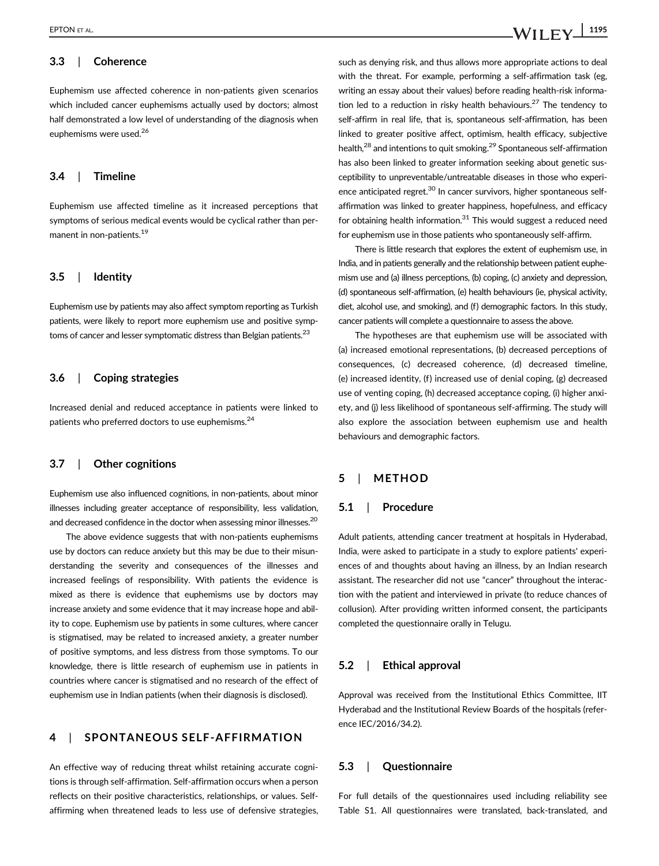# 3.3 | Coherence

Euphemism use affected coherence in non-patients given scenarios which included cancer euphemisms actually used by doctors; almost half demonstrated a low level of understanding of the diagnosis when euphemisms were used.<sup>26</sup>

#### 3.4 | Timeline

Euphemism use affected timeline as it increased perceptions that symptoms of serious medical events would be cyclical rather than permanent in non-patients.<sup>19</sup>

#### 3.5 | Identity

Euphemism use by patients may also affect symptom reporting as Turkish patients, were likely to report more euphemism use and positive symptoms of cancer and lesser symptomatic distress than Belgian patients.<sup>23</sup>

#### 3.6 | Coping strategies

Increased denial and reduced acceptance in patients were linked to patients who preferred doctors to use euphemisms.<sup>24</sup>

#### 3.7 | Other cognitions

Euphemism use also influenced cognitions, in non-patients, about minor illnesses including greater acceptance of responsibility, less validation, and decreased confidence in the doctor when assessing minor illnesses.<sup>20</sup>

The above evidence suggests that with non-patients euphemisms use by doctors can reduce anxiety but this may be due to their misunderstanding the severity and consequences of the illnesses and increased feelings of responsibility. With patients the evidence is mixed as there is evidence that euphemisms use by doctors may increase anxiety and some evidence that it may increase hope and ability to cope. Euphemism use by patients in some cultures, where cancer is stigmatised, may be related to increased anxiety, a greater number of positive symptoms, and less distress from those symptoms. To our knowledge, there is little research of euphemism use in patients in countries where cancer is stigmatised and no research of the effect of euphemism use in Indian patients (when their diagnosis is disclosed).

### 4 | SPONTANEOUS SELF-AFFIRMATION

An effective way of reducing threat whilst retaining accurate cognitions is through self-affirmation. Self-affirmation occurs when a person reflects on their positive characteristics, relationships, or values. Selfaffirming when threatened leads to less use of defensive strategies,

such as denying risk, and thus allows more appropriate actions to deal with the threat. For example, performing a self-affirmation task (eg, writing an essay about their values) before reading health-risk information led to a reduction in risky health behaviours.<sup>27</sup> The tendency to self-affirm in real life, that is, spontaneous self-affirmation, has been linked to greater positive affect, optimism, health efficacy, subjective health,<sup>28</sup> and intentions to quit smoking.<sup>29</sup> Spontaneous self-affirmation has also been linked to greater information seeking about genetic susceptibility to unpreventable/untreatable diseases in those who experience anticipated regret.<sup>30</sup> In cancer survivors, higher spontaneous selfaffirmation was linked to greater happiness, hopefulness, and efficacy for obtaining health information. $31$  This would suggest a reduced need for euphemism use in those patients who spontaneously self-affirm.

There is little research that explores the extent of euphemism use, in India, and in patients generally and the relationship between patient euphemism use and (a) illness perceptions, (b) coping, (c) anxiety and depression, (d) spontaneous self-affirmation, (e) health behaviours (ie, physical activity, diet, alcohol use, and smoking), and (f) demographic factors. In this study, cancer patients will complete a questionnaire to assess the above.

The hypotheses are that euphemism use will be associated with (a) increased emotional representations, (b) decreased perceptions of consequences, (c) decreased coherence, (d) decreased timeline, (e) increased identity, (f) increased use of denial coping, (g) decreased use of venting coping, (h) decreased acceptance coping, (i) higher anxiety, and (j) less likelihood of spontaneous self-affirming. The study will also explore the association between euphemism use and health behaviours and demographic factors.

#### 5 | METHOD

#### 5.1 | Procedure

Adult patients, attending cancer treatment at hospitals in Hyderabad, India, were asked to participate in a study to explore patients' experiences of and thoughts about having an illness, by an Indian research assistant. The researcher did not use "cancer" throughout the interaction with the patient and interviewed in private (to reduce chances of collusion). After providing written informed consent, the participants completed the questionnaire orally in Telugu.

#### 5.2 | Ethical approval

Approval was received from the Institutional Ethics Committee, IIT Hyderabad and the Institutional Review Boards of the hospitals (reference IEC/2016/34.2).

#### 5.3 | Questionnaire

For full details of the questionnaires used including reliability see Table S1. All questionnaires were translated, back-translated, and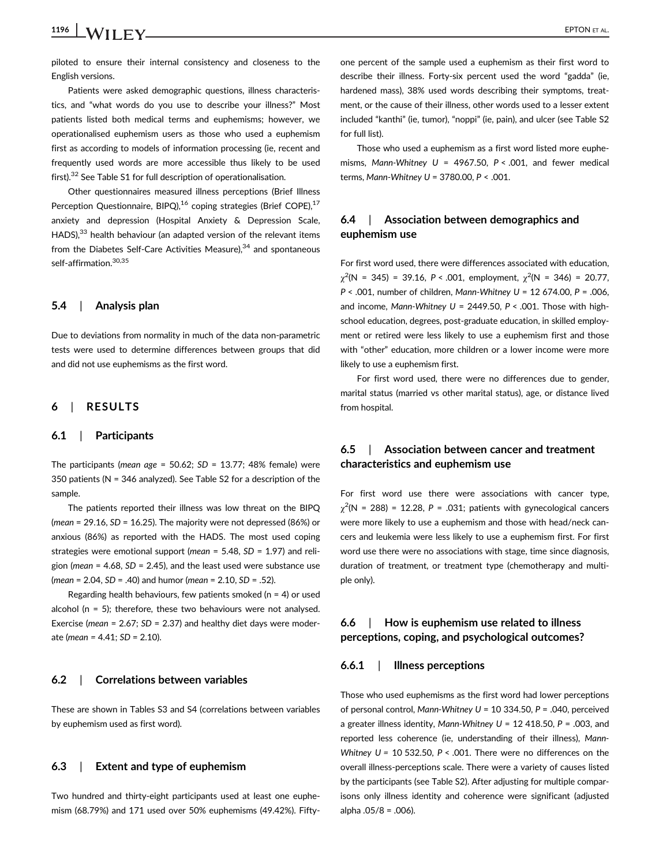# 1196  $\vert$  **WII EV** EPTON ET AL.

piloted to ensure their internal consistency and closeness to the English versions.

Patients were asked demographic questions, illness characteristics, and "what words do you use to describe your illness?" Most patients listed both medical terms and euphemisms; however, we operationalised euphemism users as those who used a euphemism first as according to models of information processing (ie, recent and frequently used words are more accessible thus likely to be used first).32 See Table S1 for full description of operationalisation.

Other questionnaires measured illness perceptions (Brief Illness Perception Questionnaire, BIPQ),<sup>16</sup> coping strategies (Brief COPE),<sup>17</sup> anxiety and depression (Hospital Anxiety & Depression Scale, HADS),<sup>33</sup> health behaviour (an adapted version of the relevant items from the Diabetes Self-Care Activities Measure), $34$  and spontaneous self-affirmation.<sup>30,35</sup>

#### 5.4 | Analysis plan

Due to deviations from normality in much of the data non-parametric tests were used to determine differences between groups that did and did not use euphemisms as the first word.

#### 6 | RESULTS

#### 6.1 | Participants

The participants (mean age =  $50.62$ ; SD = 13.77; 48% female) were 350 patients (N = 346 analyzed). See Table S2 for a description of the sample.

The patients reported their illness was low threat on the BIPQ (mean =  $29.16$ , SD =  $16.25$ ). The majority were not depressed (86%) or anxious (86%) as reported with the HADS. The most used coping strategies were emotional support (mean =  $5.48$ ,  $SD = 1.97$ ) and religion (*mean* = 4.68,  $SD = 2.45$ ), and the least used were substance use  $(mean = 2.04, SD = .40)$  and humor (*mean* = 2.10,  $SD = .52$ ).

Regarding health behaviours, few patients smoked ( $n = 4$ ) or used alcohol ( $n = 5$ ); therefore, these two behaviours were not analysed. Exercise (*mean* = 2.67;  $SD = 2.37$ ) and healthy diet days were moderate (mean = 4.41; SD = 2.10).

#### 6.2 | Correlations between variables

These are shown in Tables S3 and S4 (correlations between variables by euphemism used as first word).

#### 6.3 | Extent and type of euphemism

Two hundred and thirty-eight participants used at least one euphemism (68.79%) and 171 used over 50% euphemisms (49.42%). Fiftyone percent of the sample used a euphemism as their first word to describe their illness. Forty-six percent used the word "gadda" (ie, hardened mass), 38% used words describing their symptoms, treatment, or the cause of their illness, other words used to a lesser extent included "kanthi" (ie, tumor), "noppi" (ie, pain), and ulcer (see Table S2 for full list).

Those who used a euphemism as a first word listed more euphemisms, Mann-Whitney  $U = 4967.50$ ,  $P < .001$ , and fewer medical terms, Mann-Whitney  $U = 3780.00$ ,  $P < .001$ .

# 6.4 | Association between demographics and euphemism use

For first word used, there were differences associated with education,  $\chi^2(N = 345) = 39.16$ ,  $P < .001$ , employment,  $\chi^2(N = 346) = 20.77$ , P < .001, number of children, Mann-Whitney U = 12 674.00, P = .006, and income, Mann-Whitney  $U = 2449.50$ ,  $P < .001$ . Those with highschool education, degrees, post-graduate education, in skilled employment or retired were less likely to use a euphemism first and those with "other" education, more children or a lower income were more likely to use a euphemism first.

For first word used, there were no differences due to gender, marital status (married vs other marital status), age, or distance lived from hospital.

# 6.5 | Association between cancer and treatment characteristics and euphemism use

For first word use there were associations with cancer type,  $\chi^2$ (N = 288) = 12.28, P = .031; patients with gynecological cancers were more likely to use a euphemism and those with head/neck cancers and leukemia were less likely to use a euphemism first. For first word use there were no associations with stage, time since diagnosis, duration of treatment, or treatment type (chemotherapy and multiple only).

### 6.6 | How is euphemism use related to illness perceptions, coping, and psychological outcomes?

#### 6.6.1 | Illness perceptions

Those who used euphemisms as the first word had lower perceptions of personal control, Mann-Whitney  $U = 10$  334.50, P = .040, perceived a greater illness identity, Mann-Whitney  $U = 12418.50$ ,  $P = 0.003$ , and reported less coherence (ie, understanding of their illness), Mann-Whitney  $U = 10$  532.50,  $P < .001$ . There were no differences on the overall illness-perceptions scale. There were a variety of causes listed by the participants (see Table S2). After adjusting for multiple comparisons only illness identity and coherence were significant (adjusted alpha .05/8 = .006).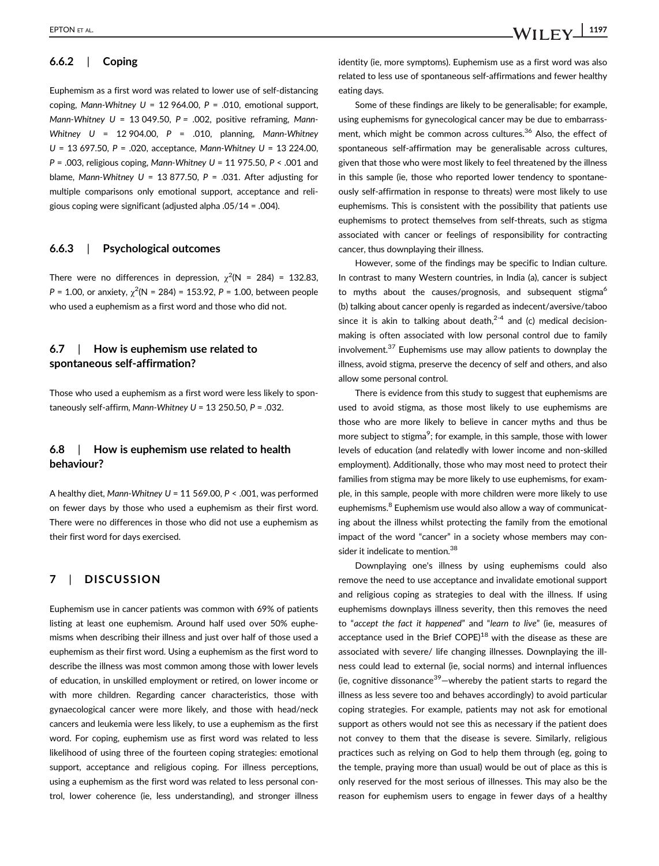# 6.6.2 | Coping

Euphemism as a first word was related to lower use of self-distancing coping, Mann-Whitney  $U = 12964.00$ ,  $P = .010$ , emotional support, Mann-Whitney  $U = 13049.50$ ,  $P = .002$ , positive reframing, Mann-Whitney  $U = 12904.00$ ,  $P = .010$ , planning, Mann-Whitney U = 13 697.50, P = .020, acceptance, Mann-Whitney U = 13 224.00,  $P = .003$ , religious coping, Mann-Whitney  $U = 11975.50$ ,  $P < .001$  and blame, Mann-Whitney  $U = 13877.50$ ,  $P = .031$ . After adjusting for multiple comparisons only emotional support, acceptance and religious coping were significant (adjusted alpha .05/14 = .004).

#### 6.6.3 | Psychological outcomes

There were no differences in depression,  $\chi^2(N = 284) = 132.83$ ,  $P = 1.00$ , or anxiety,  $\chi^2$ (N = 284) = 153.92, P = 1.00, between people who used a euphemism as a first word and those who did not.

### 6.7 | How is euphemism use related to spontaneous self-affirmation?

Those who used a euphemism as a first word were less likely to spontaneously self-affirm, Mann-Whitney  $U = 13250.50$ ,  $P = 0.032$ .

### 6.8 | How is euphemism use related to health behaviour?

A healthy diet, Mann-Whitney  $U = 11$  569.00, P < .001, was performed on fewer days by those who used a euphemism as their first word. There were no differences in those who did not use a euphemism as their first word for days exercised.

# 7 | DISCUSSION

Euphemism use in cancer patients was common with 69% of patients listing at least one euphemism. Around half used over 50% euphemisms when describing their illness and just over half of those used a euphemism as their first word. Using a euphemism as the first word to describe the illness was most common among those with lower levels of education, in unskilled employment or retired, on lower income or with more children. Regarding cancer characteristics, those with gynaecological cancer were more likely, and those with head/neck cancers and leukemia were less likely, to use a euphemism as the first word. For coping, euphemism use as first word was related to less likelihood of using three of the fourteen coping strategies: emotional support, acceptance and religious coping. For illness perceptions, using a euphemism as the first word was related to less personal control, lower coherence (ie, less understanding), and stronger illness identity (ie, more symptoms). Euphemism use as a first word was also related to less use of spontaneous self-affirmations and fewer healthy eating days.

Some of these findings are likely to be generalisable; for example, using euphemisms for gynecological cancer may be due to embarrassment, which might be common across cultures.<sup>36</sup> Also, the effect of spontaneous self-affirmation may be generalisable across cultures, given that those who were most likely to feel threatened by the illness in this sample (ie, those who reported lower tendency to spontaneously self-affirmation in response to threats) were most likely to use euphemisms. This is consistent with the possibility that patients use euphemisms to protect themselves from self-threats, such as stigma associated with cancer or feelings of responsibility for contracting cancer, thus downplaying their illness.

However, some of the findings may be specific to Indian culture. In contrast to many Western countries, in India (a), cancer is subject to myths about the causes/prognosis, and subsequent stigma<sup>6</sup> (b) talking about cancer openly is regarded as indecent/aversive/taboo since it is akin to talking about death, $2-4$  and (c) medical decisionmaking is often associated with low personal control due to family involvement. $37$  Euphemisms use may allow patients to downplay the illness, avoid stigma, preserve the decency of self and others, and also allow some personal control.

There is evidence from this study to suggest that euphemisms are used to avoid stigma, as those most likely to use euphemisms are those who are more likely to believe in cancer myths and thus be more subject to stigma<sup>9</sup>; for example, in this sample, those with lower levels of education (and relatedly with lower income and non-skilled employment). Additionally, those who may most need to protect their families from stigma may be more likely to use euphemisms, for example, in this sample, people with more children were more likely to use euphemisms.<sup>8</sup> Euphemism use would also allow a way of communicating about the illness whilst protecting the family from the emotional impact of the word "cancer" in a society whose members may consider it indelicate to mention.<sup>38</sup>

Downplaying one's illness by using euphemisms could also remove the need to use acceptance and invalidate emotional support and religious coping as strategies to deal with the illness. If using euphemisms downplays illness severity, then this removes the need to "accept the fact it happened" and "learn to live" (ie, measures of acceptance used in the Brief  $COPE$ <sup>18</sup> with the disease as these are associated with severe/ life changing illnesses. Downplaying the illness could lead to external (ie, social norms) and internal influences (ie, cognitive dissonance $39$ –whereby the patient starts to regard the illness as less severe too and behaves accordingly) to avoid particular coping strategies. For example, patients may not ask for emotional support as others would not see this as necessary if the patient does not convey to them that the disease is severe. Similarly, religious practices such as relying on God to help them through (eg, going to the temple, praying more than usual) would be out of place as this is only reserved for the most serious of illnesses. This may also be the reason for euphemism users to engage in fewer days of a healthy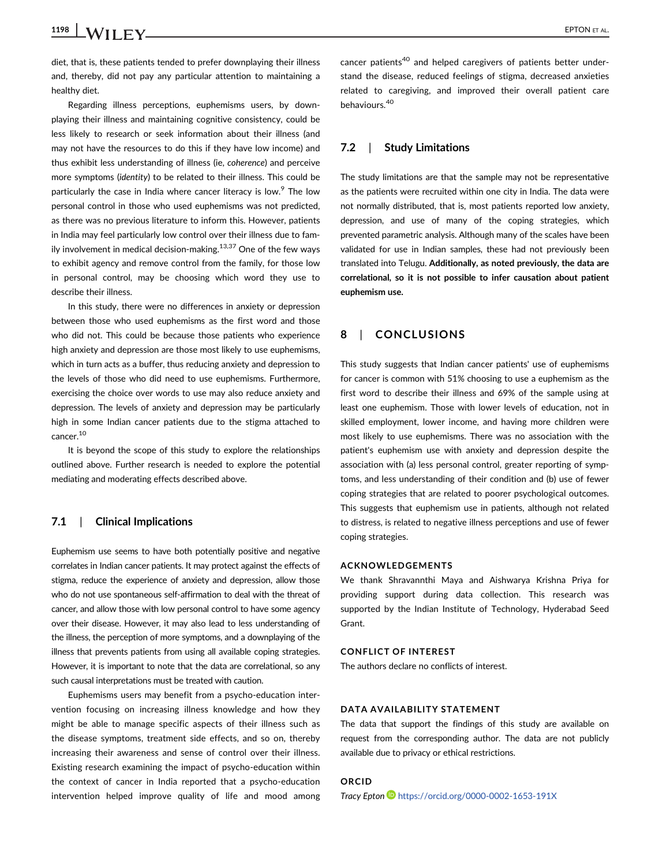diet, that is, these patients tended to prefer downplaying their illness and, thereby, did not pay any particular attention to maintaining a healthy diet.

Regarding illness perceptions, euphemisms users, by downplaying their illness and maintaining cognitive consistency, could be less likely to research or seek information about their illness (and may not have the resources to do this if they have low income) and thus exhibit less understanding of illness (ie, coherence) and perceive more symptoms (identity) to be related to their illness. This could be particularly the case in India where cancer literacy is low.<sup>9</sup> The low personal control in those who used euphemisms was not predicted, as there was no previous literature to inform this. However, patients in India may feel particularly low control over their illness due to family involvement in medical decision-making.<sup>13,37</sup> One of the few ways to exhibit agency and remove control from the family, for those low in personal control, may be choosing which word they use to describe their illness.

In this study, there were no differences in anxiety or depression between those who used euphemisms as the first word and those who did not. This could be because those patients who experience high anxiety and depression are those most likely to use euphemisms, which in turn acts as a buffer, thus reducing anxiety and depression to the levels of those who did need to use euphemisms. Furthermore, exercising the choice over words to use may also reduce anxiety and depression. The levels of anxiety and depression may be particularly high in some Indian cancer patients due to the stigma attached to cancer.10

It is beyond the scope of this study to explore the relationships outlined above. Further research is needed to explore the potential mediating and moderating effects described above.

#### 7.1 | Clinical Implications

Euphemism use seems to have both potentially positive and negative correlates in Indian cancer patients. It may protect against the effects of stigma, reduce the experience of anxiety and depression, allow those who do not use spontaneous self-affirmation to deal with the threat of cancer, and allow those with low personal control to have some agency over their disease. However, it may also lead to less understanding of the illness, the perception of more symptoms, and a downplaying of the illness that prevents patients from using all available coping strategies. However, it is important to note that the data are correlational, so any such causal interpretations must be treated with caution.

Euphemisms users may benefit from a psycho-education intervention focusing on increasing illness knowledge and how they might be able to manage specific aspects of their illness such as the disease symptoms, treatment side effects, and so on, thereby increasing their awareness and sense of control over their illness. Existing research examining the impact of psycho-education within the context of cancer in India reported that a psycho-education intervention helped improve quality of life and mood among cancer patients<sup>40</sup> and helped caregivers of patients better understand the disease, reduced feelings of stigma, decreased anxieties related to caregiving, and improved their overall patient care behaviours.<sup>40</sup>

#### 7.2 | Study Limitations

The study limitations are that the sample may not be representative as the patients were recruited within one city in India. The data were not normally distributed, that is, most patients reported low anxiety, depression, and use of many of the coping strategies, which prevented parametric analysis. Although many of the scales have been validated for use in Indian samples, these had not previously been translated into Telugu. Additionally, as noted previously, the data are correlational, so it is not possible to infer causation about patient euphemism use.

#### 8 | CONCLUSIONS

This study suggests that Indian cancer patients' use of euphemisms for cancer is common with 51% choosing to use a euphemism as the first word to describe their illness and 69% of the sample using at least one euphemism. Those with lower levels of education, not in skilled employment, lower income, and having more children were most likely to use euphemisms. There was no association with the patient's euphemism use with anxiety and depression despite the association with (a) less personal control, greater reporting of symptoms, and less understanding of their condition and (b) use of fewer coping strategies that are related to poorer psychological outcomes. This suggests that euphemism use in patients, although not related to distress, is related to negative illness perceptions and use of fewer coping strategies.

#### ACKNOWLEDGEMENTS

We thank Shravannthi Maya and Aishwarya Krishna Priya for providing support during data collection. This research was supported by the Indian Institute of Technology, Hyderabad Seed Grant.

#### CONFLICT OF INTEREST

The authors declare no conflicts of interest.

#### DATA AVAILABILITY STATEMENT

The data that support the findings of this study are available on request from the corresponding author. The data are not publicly available due to privacy or ethical restrictions.

#### ORCID

Tracy Epton **b** <https://orcid.org/0000-0002-1653-191X>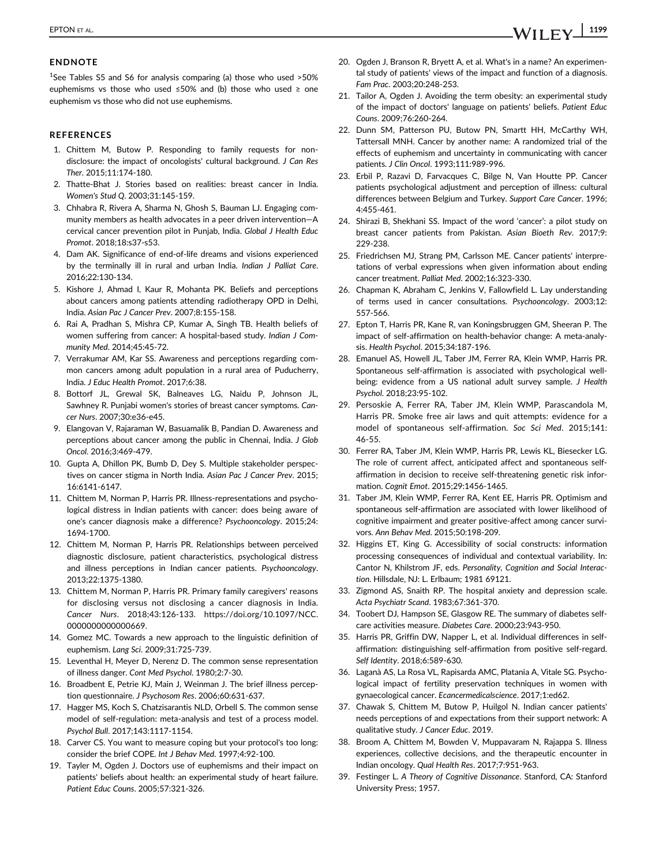#### ENDNOTE

<sup>1</sup>See Tables S5 and S6 for analysis comparing (a) those who used >50% euphemisms vs those who used ≤50% and (b) those who used ≥ one euphemism vs those who did not use euphemisms.

#### **REFERENCES**

- 1. Chittem M, Butow P. Responding to family requests for nondisclosure: the impact of oncologists' cultural background. J Can Res Ther. 2015;11:174-180.
- 2. Thatte-Bhat J. Stories based on realities: breast cancer in India. Women's Stud Q. 2003;31:145-159.
- 3. Chhabra R, Rivera A, Sharma N, Ghosh S, Bauman LJ. Engaging community members as health advocates in a peer driven intervention—A cervical cancer prevention pilot in Punjab, India. Global J Health Educ Promot. 2018;18:s37-s53.
- 4. Dam AK. Significance of end-of-life dreams and visions experienced by the terminally ill in rural and urban India. Indian J Palliat Care. 2016;22:130-134.
- 5. Kishore J, Ahmad I, Kaur R, Mohanta PK. Beliefs and perceptions about cancers among patients attending radiotherapy OPD in Delhi, India. Asian Pac J Cancer Prev. 2007;8:155-158.
- 6. Rai A, Pradhan S, Mishra CP, Kumar A, Singh TB. Health beliefs of women suffering from cancer: A hospital-based study. Indian J Community Med. 2014;45:45-72.
- 7. Verrakumar AM, Kar SS. Awareness and perceptions regarding common cancers among adult population in a rural area of Puducherry, India. J Educ Health Promot. 2017;6:38.
- 8. Bottorf JL, Grewal SK, Balneaves LG, Naidu P, Johnson JL, Sawhney R. Punjabi women's stories of breast cancer symptoms. Cancer Nurs. 2007;30:e36-e45.
- 9. Elangovan V, Rajaraman W, Basuamalik B, Pandian D. Awareness and perceptions about cancer among the public in Chennai, India. J Glob Oncol. 2016;3:469-479.
- 10. Gupta A, Dhillon PK, Bumb D, Dey S. Multiple stakeholder perspectives on cancer stigma in North India. Asian Pac J Cancer Prev. 2015; 16:6141-6147.
- 11. Chittem M, Norman P, Harris PR. Illness-representations and psychological distress in Indian patients with cancer: does being aware of one's cancer diagnosis make a difference? Psychooncology. 2015;24: 1694-1700.
- 12. Chittem M, Norman P, Harris PR. Relationships between perceived diagnostic disclosure, patient characteristics, psychological distress and illness perceptions in Indian cancer patients. Psychooncology. 2013;22:1375-1380.
- 13. Chittem M, Norman P, Harris PR. Primary family caregivers' reasons for disclosing versus not disclosing a cancer diagnosis in India. Cancer Nurs. 2018;43:126-133. [https://doi.org/10.1097/NCC.](https://doi.org/10.1097/NCC.0000000000000669) 000000000000669.
- 14. Gomez MC. Towards a new approach to the linguistic definition of euphemism. Lang Sci. 2009;31:725-739.
- 15. Leventhal H, Meyer D, Nerenz D. The common sense representation of illness danger. Cont Med Psychol. 1980;2:7-30.
- 16. Broadbent E, Petrie KJ, Main J, Weinman J. The brief illness perception questionnaire. J Psychosom Res. 2006;60:631-637.
- 17. Hagger MS, Koch S, Chatzisarantis NLD, Orbell S. The common sense model of self-regulation: meta-analysis and test of a process model. Psychol Bull. 2017;143:1117-1154.
- 18. Carver CS. You want to measure coping but your protocol's too long: consider the brief COPE. Int J Behav Med. 1997;4:92-100.
- 19. Tayler M, Ogden J. Doctors use of euphemisms and their impact on patients' beliefs about health: an experimental study of heart failure. Patient Educ Couns. 2005;57:321-326.
- 20. Ogden J, Branson R, Bryett A, et al. What's in a name? An experimental study of patients' views of the impact and function of a diagnosis. Fam Prac. 2003;20:248-253.
- 21. Tailor A, Ogden J. Avoiding the term obesity: an experimental study of the impact of doctors' language on patients' beliefs. Patient Educ Couns. 2009;76:260-264.
- 22. Dunn SM, Patterson PU, Butow PN, Smartt HH, McCarthy WH, Tattersall MNH. Cancer by another name: A randomized trial of the effects of euphemism and uncertainty in communicating with cancer patients. J Clin Oncol. 1993;111:989-996.
- 23. Erbil P, Razavi D, Farvacques C, Bilge N, Van Houtte PP. Cancer patients psychological adjustment and perception of illness: cultural differences between Belgium and Turkey. Support Care Cancer. 1996; 4:455-461.
- 24. Shirazi B, Shekhani SS. Impact of the word 'cancer': a pilot study on breast cancer patients from Pakistan. Asian Bioeth Rev. 2017;9: 229-238.
- 25. Friedrichsen MJ, Strang PM, Carlsson ME. Cancer patients' interpretations of verbal expressions when given information about ending cancer treatment. Palliat Med. 2002;16:323-330.
- 26. Chapman K, Abraham C, Jenkins V, Fallowfield L. Lay understanding of terms used in cancer consultations. Psychooncology. 2003;12: 557-566.
- 27. Epton T, Harris PR, Kane R, van Koningsbruggen GM, Sheeran P. The impact of self-affirmation on health-behavior change: A meta-analysis. Health Psychol. 2015;34:187-196.
- 28. Emanuel AS, Howell JL, Taber JM, Ferrer RA, Klein WMP, Harris PR. Spontaneous self-affirmation is associated with psychological wellbeing: evidence from a US national adult survey sample. J Health Psychol. 2018;23:95-102.
- 29. Persoskie A, Ferrer RA, Taber JM, Klein WMP, Parascandola M, Harris PR. Smoke free air laws and quit attempts: evidence for a model of spontaneous self-affirmation. Soc Sci Med. 2015;141: 46-55.
- 30. Ferrer RA, Taber JM, Klein WMP, Harris PR, Lewis KL, Biesecker LG. The role of current affect, anticipated affect and spontaneous selfaffirmation in decision to receive self-threatening genetic risk information. Cognit Emot. 2015;29:1456-1465.
- 31. Taber JM, Klein WMP, Ferrer RA, Kent EE, Harris PR. Optimism and spontaneous self-affirmation are associated with lower likelihood of cognitive impairment and greater positive-affect among cancer survivors. Ann Behav Med. 2015;50:198-209.
- 32. Higgins ET, King G. Accessibility of social constructs: information processing consequences of individual and contextual variability. In: Cantor N, Khilstrom JF, eds. Personality, Cognition and Social Interaction. Hillsdale, NJ: L. Erlbaum; 1981 69121.
- 33. Zigmond AS, Snaith RP. The hospital anxiety and depression scale. Acta Psychiatr Scand. 1983;67:361-370.
- 34. Toobert DJ, Hampson SE, Glasgow RE. The summary of diabetes selfcare activities measure. Diabetes Care. 2000;23:943-950.
- 35. Harris PR, Griffin DW, Napper L, et al. Individual differences in selfaffirmation: distinguishing self-affirmation from positive self-regard. Self Identity. 2018;6:589-630.
- 36. Laganà AS, La Rosa VL, Rapisarda AMC, Platania A, Vitale SG. Psychological impact of fertility preservation techniques in women with gynaecological cancer. Ecancermedicalscience. 2017;1:ed62.
- 37. Chawak S, Chittem M, Butow P, Huilgol N. Indian cancer patients' needs perceptions of and expectations from their support network: A qualitative study. J Cancer Educ. 2019.
- 38. Broom A, Chittem M, Bowden V, Muppavaram N, Rajappa S. Illness experiences, collective decisions, and the therapeutic encounter in Indian oncology. Qual Health Res. 2017;7:951-963.
- 39. Festinger L. A Theory of Cognitive Dissonance. Stanford, CA: Stanford University Press; 1957.